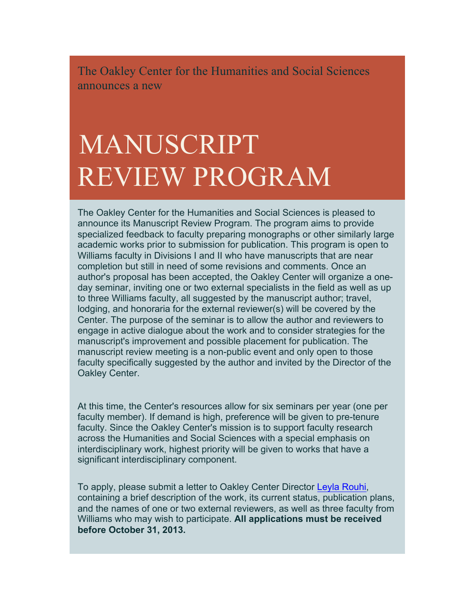The Oakley Center for the Humanities and Social Sciences announces a new

## MANUSCRIPT REVIEW PROGRAM

The Oakley Center for the Humanities and Social Sciences is pleased to announce its Manuscript Review Program. The program aims to provide specialized feedback to faculty preparing monographs or other similarly large academic works prior to submission for publication. This program is open to Williams faculty in Divisions I and II who have manuscripts that are near completion but still in need of some revisions and comments. Once an author's proposal has been accepted, the Oakley Center will organize a oneday seminar, inviting one or two external specialists in the field as well as up to three Williams faculty, all suggested by the manuscript author; travel, lodging, and honoraria for the external reviewer(s) will be covered by the Center. The purpose of the seminar is to allow the author and reviewers to engage in active dialogue about the work and to consider strategies for the manuscript's improvement and possible placement for publication. The manuscript review meeting is a non-public event and only open to those faculty specifically suggested by the author and invited by the Director of the Oakley Center.

At this time, the Center's resources allow for six seminars per year (one per faculty member). If demand is high, preference will be given to pre-tenure faculty. Since the Oakley Center's mission is to support faculty research across the Humanities and Social Sciences with a special emphasis on interdisciplinary work, highest priority will be given to works that have a significant interdisciplinary component.

To apply, please submit a letter to Oakley Center Director Leyla Rouhi, containing a brief description of the work, its current status, publication plans, and the names of one or two external reviewers, as well as three faculty from Williams who may wish to participate. **All applications must be received before October 31, 2013.**